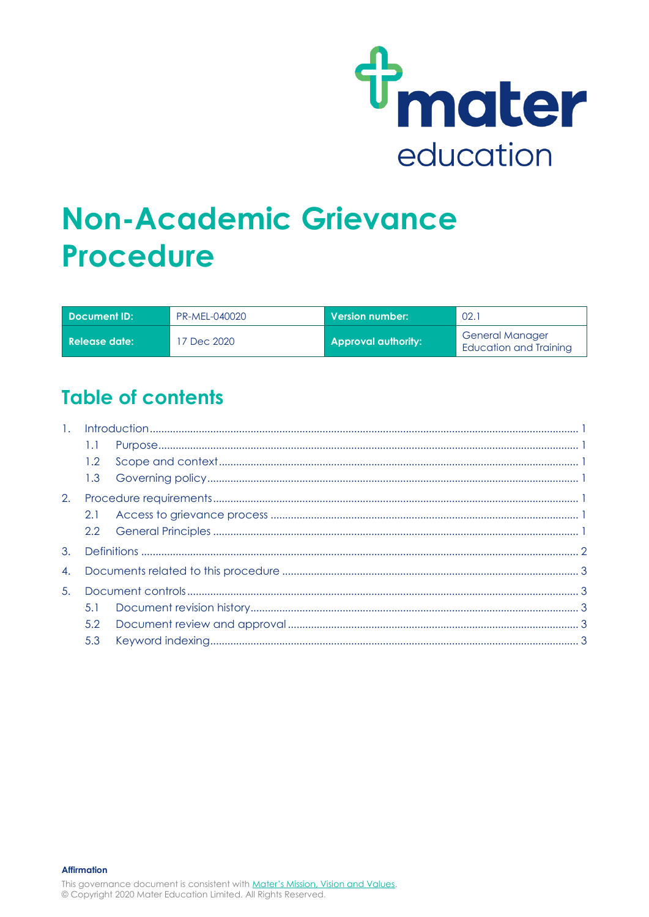

# **Non-Academic Grievance Procedure**

| Document ID:         | PR-MEL-040020 | Version number: \          | 02.                                              |
|----------------------|---------------|----------------------------|--------------------------------------------------|
| <b>Release date:</b> | 7 Dec 2020    | <b>Approval authority:</b> | <b>General Manager</b><br>Education and Training |

# **Table of contents**

| $\overline{1}$ . |     |  |  |
|------------------|-----|--|--|
|                  | 1.1 |  |  |
|                  | 1.2 |  |  |
|                  |     |  |  |
| 2.               |     |  |  |
|                  | 2.1 |  |  |
|                  |     |  |  |
| 3.               |     |  |  |
| 4.               |     |  |  |
| 5.               |     |  |  |
|                  | 5.1 |  |  |
|                  | 5.2 |  |  |
|                  | 5.3 |  |  |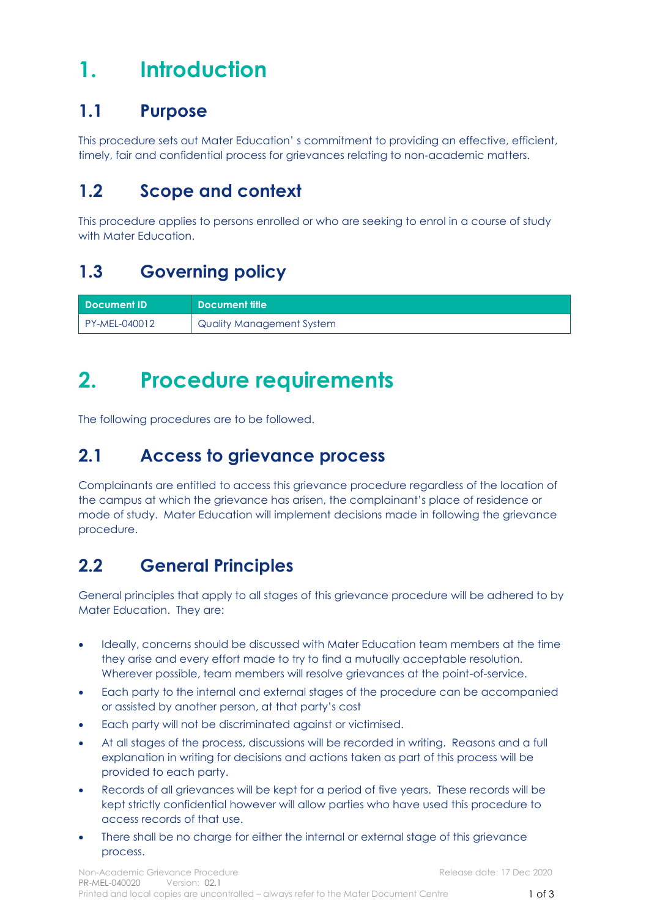# <span id="page-1-0"></span>**1. Introduction**

### <span id="page-1-1"></span>**1.1 Purpose**

This procedure sets out Mater Education' s commitment to providing an effective, efficient, timely, fair and confidential process for grievances relating to non-academic matters.

## <span id="page-1-2"></span>**1.2 Scope and context**

This procedure applies to persons enrolled or who are seeking to enrol in a course of study with Mater Education.

## <span id="page-1-3"></span>**1.3 Governing policy**

| <b>Document ID</b> | Document title            |
|--------------------|---------------------------|
| PY-MEL-040012      | Quality Management System |

# <span id="page-1-4"></span>**2. Procedure requirements**

The following procedures are to be followed.

# <span id="page-1-5"></span>**2.1 Access to grievance process**

Complainants are entitled to access this grievance procedure regardless of the location of the campus at which the grievance has arisen, the complainant's place of residence or mode of study. Mater Education will implement decisions made in following the grievance procedure.

## <span id="page-1-6"></span>**2.2 General Principles**

General principles that apply to all stages of this grievance procedure will be adhered to by Mater Education. They are:

- Ideally, concerns should be discussed with Mater Education team members at the time they arise and every effort made to try to find a mutually acceptable resolution. Wherever possible, team members will resolve grievances at the point-of-service.
- Each party to the internal and external stages of the procedure can be accompanied or assisted by another person, at that party's cost
- Each party will not be discriminated against or victimised.
- At all stages of the process, discussions will be recorded in writing. Reasons and a full explanation in writing for decisions and actions taken as part of this process will be provided to each party.
- Records of all grievances will be kept for a period of five years. These records will be kept strictly confidential however will allow parties who have used this procedure to access records of that use.
- There shall be no charge for either the internal or external stage of this grievance process.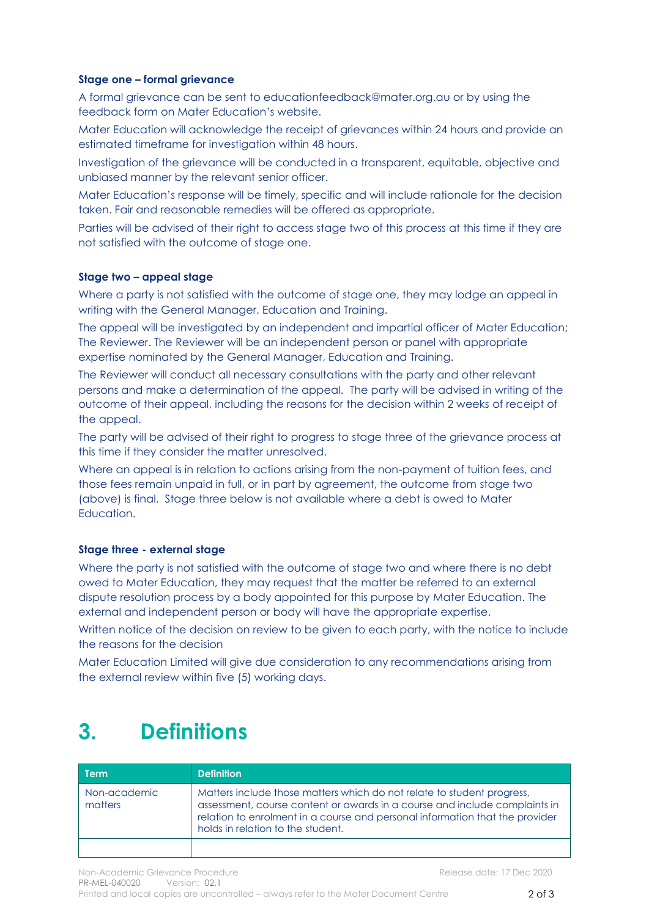#### **Stage one – formal grievance**

A formal grievance can be sent to educationfeedback@mater.org.au or by using the feedback form on Mater Education's website.

Mater Education will acknowledge the receipt of grievances within 24 hours and provide an estimated timeframe for investigation within 48 hours.

Investigation of the grievance will be conducted in a transparent, equitable, objective and unbiased manner by the relevant senior officer.

Mater Education's response will be timely, specific and will include rationale for the decision taken. Fair and reasonable remedies will be offered as appropriate.

Parties will be advised of their right to access stage two of this process at this time if they are not satisfied with the outcome of stage one.

#### **Stage two – appeal stage**

Where a party is not satisfied with the outcome of stage one, they may lodge an appeal in writing with the General Manager, Education and Training.

The appeal will be investigated by an independent and impartial officer of Mater Education; The Reviewer. The Reviewer will be an independent person or panel with appropriate expertise nominated by the General Manager, Education and Training.

The Reviewer will conduct all necessary consultations with the party and other relevant persons and make a determination of the appeal. The party will be advised in writing of the outcome of their appeal, including the reasons for the decision within 2 weeks of receipt of the appeal.

The party will be advised of their right to progress to stage three of the grievance process at this time if they consider the matter unresolved.

Where an appeal is in relation to actions arising from the non-payment of tuition fees, and those fees remain unpaid in full, or in part by agreement, the outcome from stage two (above) is final. Stage three below is not available where a debt is owed to Mater Education.

#### **Stage three - external stage**

Where the party is not satisfied with the outcome of stage two and where there is no debt owed to Mater Education, they may request that the matter be referred to an external dispute resolution process by a body appointed for this purpose by Mater Education. The external and independent person or body will have the appropriate expertise.

Written notice of the decision on review to be given to each party, with the notice to include the reasons for the decision

Mater Education Limited will give due consideration to any recommendations arising from the external review within five (5) working days.

# <span id="page-2-0"></span>**3. Definitions**

| Term                    | <b>Definition</b>                                                                                                                                                                                                                                                         |
|-------------------------|---------------------------------------------------------------------------------------------------------------------------------------------------------------------------------------------------------------------------------------------------------------------------|
| Non-academic<br>matters | Matters include those matters which do not relate to student progress,<br>assessment, course content or awards in a course and include complaints in<br>relation to enrolment in a course and personal information that the provider<br>holds in relation to the student. |
|                         |                                                                                                                                                                                                                                                                           |